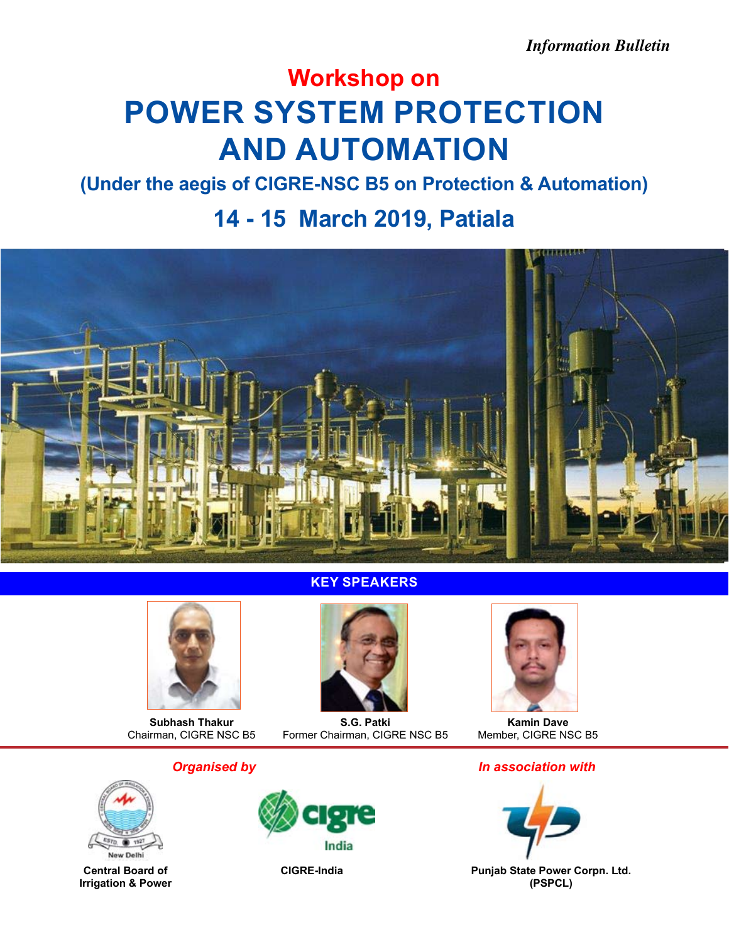*Information Bulletin*

# **Workshop on Power System Protection and Automation**

## **(Under the aegis of CIGRE-NSC B5 on Protection & Automation)**

## **14 - 15 March 2019, Patiala**





#### **Key Speakers**



**Subhash Thakur S.G. Patki Kamin Dave**  Former Chairman, CIGRE NSC B5



#### *In association with*



**Punjab State Power Corpn. Ltd. (PSPCL)**

*Organised by*





**CIGRE-India**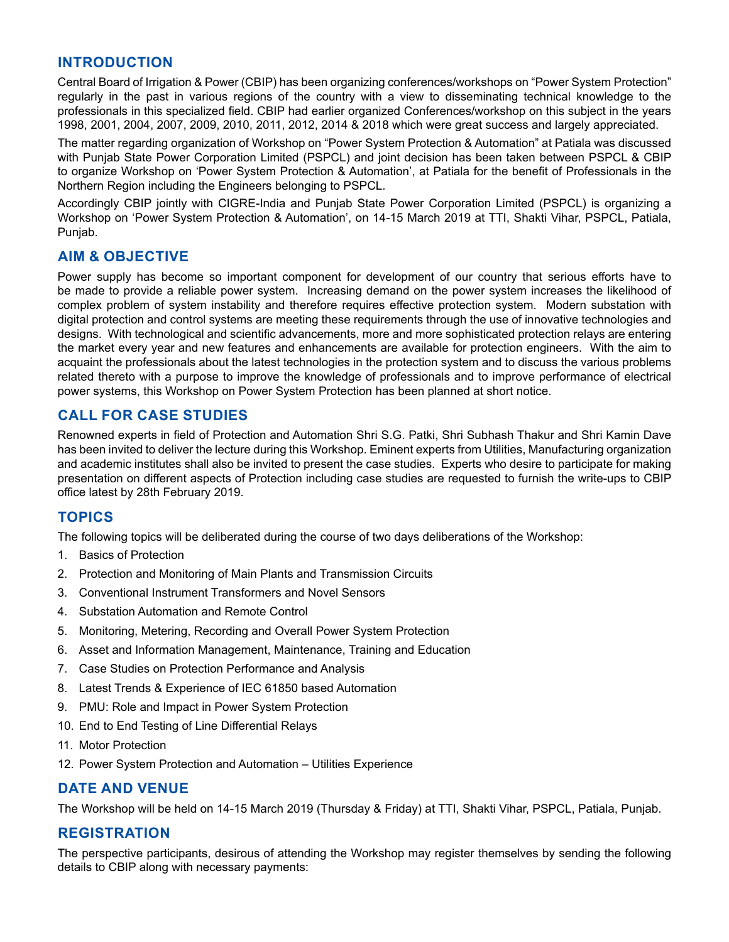#### **INTRODUCTION**

Central Board of Irrigation & Power (CBIP) has been organizing conferences/workshops on "Power System Protection" regularly in the past in various regions of the country with a view to disseminating technical knowledge to the professionals in this specialized field. CBIP had earlier organized Conferences/workshop on this subject in the years 1998, 2001, 2004, 2007, 2009, 2010, 2011, 2012, 2014 & 2018 which were great success and largely appreciated.

The matter regarding organization of Workshop on "Power System Protection & Automation" at Patiala was discussed with Punjab State Power Corporation Limited (PSPCL) and joint decision has been taken between PSPCL & CBIP to organize Workshop on 'Power System Protection & Automation', at Patiala for the benefit of Professionals in the Northern Region including the Engineers belonging to PSPCL.

Accordingly CBIP jointly with CIGRE-India and Punjab State Power Corporation Limited (PSPCL) is organizing a Workshop on 'Power System Protection & Automation', on 14-15 March 2019 at TTI, Shakti Vihar, PSPCL, Patiala, Punjab.

#### **AIM & OBJECTIVE**

Power supply has become so important component for development of our country that serious efforts have to be made to provide a reliable power system. Increasing demand on the power system increases the likelihood of complex problem of system instability and therefore requires effective protection system. Modern substation with digital protection and control systems are meeting these requirements through the use of innovative technologies and designs. With technological and scientific advancements, more and more sophisticated protection relays are entering the market every year and new features and enhancements are available for protection engineers. With the aim to acquaint the professionals about the latest technologies in the protection system and to discuss the various problems related thereto with a purpose to improve the knowledge of professionals and to improve performance of electrical power systems, this Workshop on Power System Protection has been planned at short notice.

#### **Call for Case Studies**

Renowned experts in field of Protection and Automation Shri S.G. Patki, Shri Subhash Thakur and Shri Kamin Dave has been invited to deliver the lecture during this Workshop. Eminent experts from Utilities, Manufacturing organization and academic institutes shall also be invited to present the case studies. Experts who desire to participate for making presentation on different aspects of Protection including case studies are requested to furnish the write-ups to CBIP office latest by 28th February 2019.

#### **TOPICS**

The following topics will be deliberated during the course of two days deliberations of the Workshop:

- 1. Basics of Protection
- 2. Protection and Monitoring of Main Plants and Transmission Circuits
- 3. Conventional Instrument Transformers and Novel Sensors
- 4. Substation Automation and Remote Control
- 5. Monitoring, Metering, Recording and Overall Power System Protection
- 6. Asset and Information Management, Maintenance, Training and Education
- 7. Case Studies on Protection Performance and Analysis
- 8. Latest Trends & Experience of IEC 61850 based Automation
- 9. PMU: Role and Impact in Power System Protection
- 10. End to End Testing of Line Differential Relays
- 11. Motor Protection
- 12. Power System Protection and Automation Utilities Experience

#### **Date and VENUE**

The Workshop will be held on 14-15 March 2019 (Thursday & Friday) at TTI, Shakti Vihar, PSPCL, Patiala, Punjab.

#### **REGISTRATION**

The perspective participants, desirous of attending the Workshop may register themselves by sending the following details to CBIP along with necessary payments: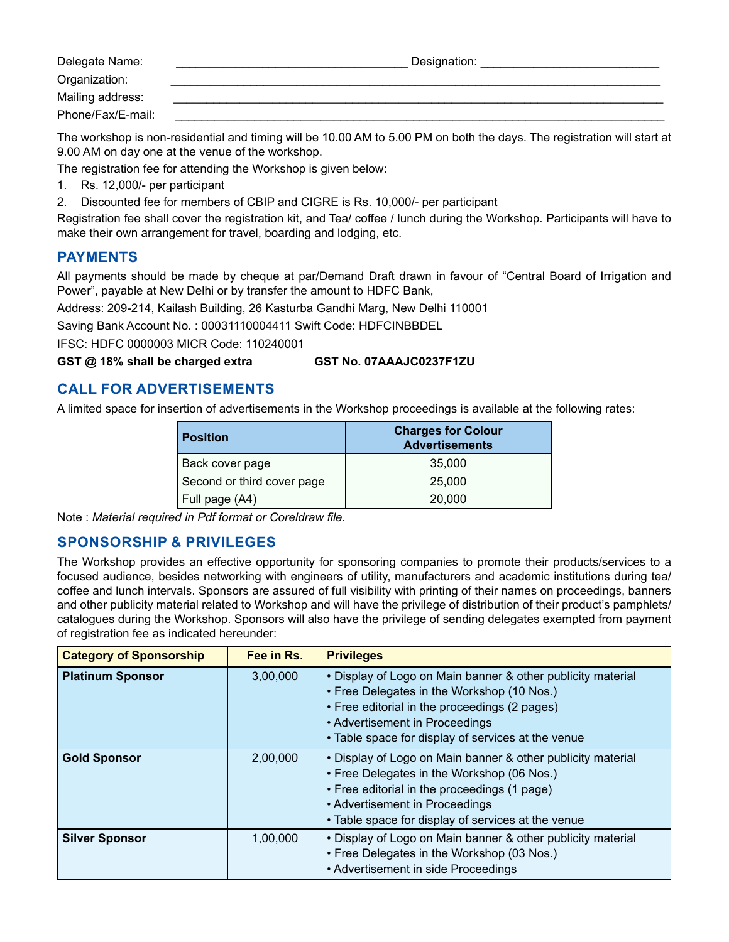| Delegate Name:    | Designation: |
|-------------------|--------------|
| Organization:     |              |
| Mailing address:  |              |
| Phone/Fax/E-mail: |              |

The workshop is non-residential and timing will be 10.00 AM to 5.00 PM on both the days. The registration will start at 9.00 AM on day one at the venue of the workshop.

The registration fee for attending the Workshop is given below:

- 1. Rs. 12,000/- per participant
- 2. Discounted fee for members of CBIP and CIGRE is Rs. 10,000/- per participant

Registration fee shall cover the registration kit, and Tea/ coffee / lunch during the Workshop. Participants will have to make their own arrangement for travel, boarding and lodging, etc.

#### **Payments**

All payments should be made by cheque at par/Demand Draft drawn in favour of "Central Board of Irrigation and Power", payable at New Delhi or by transfer the amount to HDFC Bank,

Address: 209-214, Kailash Building, 26 Kasturba Gandhi Marg, New Delhi 110001

Saving Bank Account No. : 00031110004411 Swift Code: HDFCINBBDEL

IFSC: HDFC 0000003 MICR Code: 110240001

#### **GST @ 18% shall be charged extra GST No. 07AAAJC0237F1ZU**

#### **CALL FOR ADVERTISEMENTS**

A limited space for insertion of advertisements in the Workshop proceedings is available at the following rates:

| <b>Position</b>            | <b>Charges for Colour</b><br><b>Advertisements</b> |
|----------------------------|----------------------------------------------------|
| Back cover page            | 35,000                                             |
| Second or third cover page | 25,000                                             |
| Full page (A4)             | 20,000                                             |

Note : *Material required in Pdf format or Coreldraw file.*

#### **Sponsorship & Privileges**

The Workshop provides an effective opportunity for sponsoring companies to promote their products/services to a focused audience, besides networking with engineers of utility, manufacturers and academic institutions during tea/ coffee and lunch intervals. Sponsors are assured of full visibility with printing of their names on proceedings, banners and other publicity material related to Workshop and will have the privilege of distribution of their product's pamphlets/ catalogues during the Workshop. Sponsors will also have the privilege of sending delegates exempted from payment of registration fee as indicated hereunder:

| <b>Category of Sponsorship</b> | Fee in Rs. | <b>Privileges</b>                                                                                                                                                                                                                                  |
|--------------------------------|------------|----------------------------------------------------------------------------------------------------------------------------------------------------------------------------------------------------------------------------------------------------|
| <b>Platinum Sponsor</b>        | 3,00,000   | • Display of Logo on Main banner & other publicity material<br>• Free Delegates in the Workshop (10 Nos.)<br>• Free editorial in the proceedings (2 pages)<br>• Advertisement in Proceedings<br>• Table space for display of services at the venue |
| <b>Gold Sponsor</b>            | 2,00,000   | • Display of Logo on Main banner & other publicity material<br>• Free Delegates in the Workshop (06 Nos.)<br>• Free editorial in the proceedings (1 page)<br>• Advertisement in Proceedings<br>• Table space for display of services at the venue  |
| <b>Silver Sponsor</b>          | 1,00,000   | • Display of Logo on Main banner & other publicity material<br>• Free Delegates in the Workshop (03 Nos.)<br>• Advertisement in side Proceedings                                                                                                   |